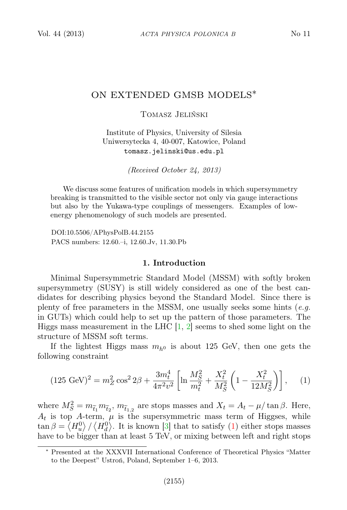# ON EXTENDED GMSB MODELS∗

Tomasz Jeliński

Institute of Physics, University of Silesia Uniwersytecka 4, 40-007, Katowice, Poland tomasz.jelinski@us.edu.pl

(Received October 24, 2013)

We discuss some features of unification models in which supersymmetry breaking is transmitted to the visible sector not only via gauge interactions but also by the Yukawa-type couplings of messengers. Examples of lowenergy phenomenology of such models are presented.

DOI:10.5506/APhysPolB.44.2155 PACS numbers: 12.60.–i, 12.60.Jv, 11.30.Pb

## 1. Introduction

Minimal Supersymmetric Standard Model (MSSM) with softly broken supersymmetry (SUSY) is still widely considered as one of the best candidates for describing physics beyond the Standard Model. Since there is plenty of free parameters in the MSSM, one usually seeks some hints  $(e.g.$ in GUTs) which could help to set up the pattern of those parameters. The Higgs mass measurement in the LHC  $[1, 2]$  $[1, 2]$  $[1, 2]$  seems to shed some light on the structure of MSSM soft terms.

If the lightest Higgs mass  $m_{h0}$  is about 125 GeV, then one gets the following constraint

<span id="page-0-0"></span>
$$
(125 \text{ GeV})^2 = m_Z^2 \cos^2 2\beta + \frac{3m_t^4}{4\pi^2 v^2} \left[ \ln \frac{M_S^2}{m_t^2} + \frac{X_t^2}{M_S^2} \left( 1 - \frac{X_t^2}{12M_S^2} \right) \right], \quad (1)
$$

where  $M_S^2 = m_{\tilde{t}_1} m_{\tilde{t}_2}$ ,  $m_{\tilde{t}_{1,2}}$  are stops masses and  $X_t = A_t - \mu/\tan \beta$ . Here,  $A_t$  is top A-term,  $\mu$  is the supersymmetric mass term of Higgses, while  $\tan \beta = \langle H_u^0 \rangle / \langle H_d^0 \rangle$ . It is known [\[3\]](#page-6-2) that to satisfy [\(1\)](#page-0-0) either stops masses have to be bigger than at least 5 TeV, or mixing between left and right stops

<sup>∗</sup> Presented at the XXXVII International Conference of Theoretical Physics "Matter to the Deepest" Ustroń, Poland, September 1–6, 2013.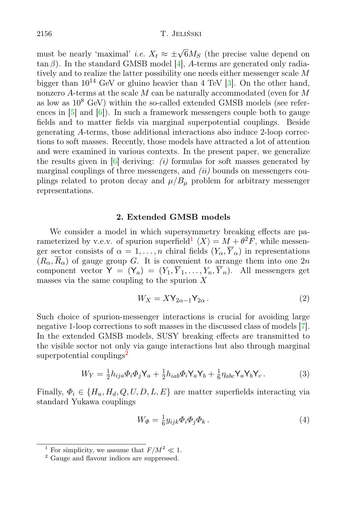must be nearly 'maximal' *i.e.*  $X_t \approx \pm \sqrt{6} M_S$  (the precise value depend on  $tan \beta$ ). In the standard GMSB model [\[4\]](#page-6-3), A-terms are generated only radiatively and to realize the latter possibility one needs either messenger scale M bigger than  $10^{14}$  GeV or gluino heavier than 4 TeV [\[3\]](#page-6-2). On the other hand, nonzero A-terms at the scale  $M$  can be naturally accommodated (even for  $M$ as low as  $10^8$  GeV) within the so-called extended GMSB models (see references in [\[5\]](#page-6-4) and [\[6\]](#page-6-5)). In such a framework messengers couple both to gauge fields and to matter fields via marginal superpotential couplings. Beside generating A-terms, those additional interactions also induce 2-loop corrections to soft masses. Recently, those models have attracted a lot of attention and were examined in various contexts. In the present paper, we generalize the results given in  $[6]$  deriving: (i) formulas for soft masses generated by marginal couplings of three messengers, and  $(ii)$  bounds on messengers couplings related to proton decay and  $\mu/B_{\mu}$  problem for arbitrary messenger representations.

# 2. Extended GMSB models

We consider a model in which supersymmetry breaking effects are parameterized by v.e.v. of spurion superfield  $\langle X \rangle = M + \theta^2 F$ , while messenger sector consists of  $\alpha = 1, \ldots, n$  chiral fields  $(Y_{\alpha}, \overline{Y}_{\alpha})$  in representations  $(R_{\alpha}, \overline{R}_{\alpha})$  of gauge group G. It is convenient to arrange them into one  $2n$ component vector  $Y = (Y_a) = (Y_1, \overline{Y}_1, \ldots, Y_n, \overline{Y}_n)$ . All messengers get masses via the same coupling to the spurion  $X$ 

<span id="page-1-2"></span>
$$
W_X = XY_{2\alpha - 1} Y_{2\alpha} . \tag{2}
$$

Such choice of spurion-messenger interactions is crucial for avoiding large negative 1-loop corrections to soft masses in the discussed class of models [\[7\]](#page-6-6). In the extended GMSB models, SUSY breaking effects are transmitted to the visible sector not only via gauge interactions but also through marginal superpotential couplings<sup>[2](#page-1-1)</sup>

$$
W_Y = \frac{1}{2} h_{ija} \Phi_i \Phi_j Y_a + \frac{1}{2} h_{iab} \Phi_i Y_a Y_b + \frac{1}{6} \eta_{abc} Y_a Y_b Y_c. \tag{3}
$$

Finally,  $\Phi_i \in \{H_u, H_d, Q, U, D, L, E\}$  are matter superfields interacting via standard Yukawa couplings

$$
W_{\Phi} = \frac{1}{6} y_{ijk} \Phi_i \Phi_j \Phi_k . \tag{4}
$$

<span id="page-1-0"></span><sup>&</sup>lt;sup>1</sup> For simplicity, we assume that  $F/M^2 \ll 1$ .

<span id="page-1-1"></span><sup>&</sup>lt;sup>2</sup> Gauge and flavour indices are suppressed.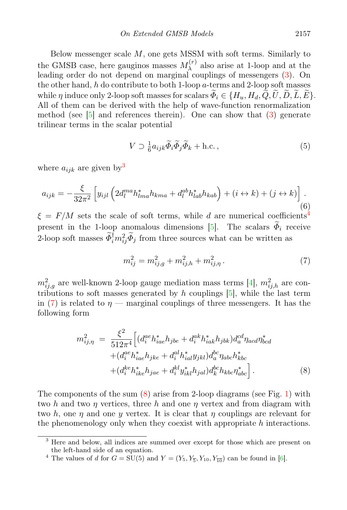Below messenger scale  $M$ , one gets MSSM with soft terms. Similarly to the GMSB case, here gauginos masses  $M_{\lambda}^{(r)}$  also arise at 1-loop and at the leading order do not depend on marginal couplings of messengers  $(3)$ . On the other hand,  $h$  do contribute to both 1-loop  $a$ -terms and 2-loop soft masses while  $\eta$  induce only 2-loop soft masses for scalars  $\widetilde{\Phi}_i \in \{H_u, H_d, \widetilde{Q}, \widetilde{U}, \widetilde{D}, \widetilde{L}, \widetilde{E}\}.$ All of them can be derived with the help of wave-function renormalization method (see  $[5]$  and references therein). One can show that  $(3)$  generate trilinear terms in the scalar potential

<span id="page-2-4"></span>
$$
V \supset \frac{1}{6} a_{ijk} \widetilde{\Phi}_i \widetilde{\Phi}_j \widetilde{\Phi}_k + \text{h.c.}\,,\tag{5}
$$

where  $a_{ijk}$  are given by<sup>[3](#page-2-0)</sup>

$$
a_{ijk} = -\frac{\xi}{32\pi^2} \left[ y_{ijl} \left( 2d_l^{ma} h_{lma}^* h_{kma} + d_l^{ab} h_{lab}^* h_{kab} \right) + (i \leftrightarrow k) + (j \leftrightarrow k) \right]. \tag{6}
$$

 $\xi = F/M$  sets the scale of soft terms, while d are numerical coefficients<sup>[4](#page-2-1)</sup> present in the 1-loop anomalous dimensions [\[5\]](#page-6-4). The scalars  $\widetilde{\Phi}_i$  receive 2-loop soft masses  $\tilde{\Phi}_i^{\dagger} m_{ij}^2 \tilde{\Phi}_j$  from three sources what can be written as

<span id="page-2-2"></span>
$$
m_{ij}^2 = m_{ij,g}^2 + m_{ij,h}^2 + m_{ij,\eta}^2. \tag{7}
$$

 $m_{ij,g}^2$  are well-known 2-loop gauge mediation mass terms [\[4\]](#page-6-3),  $m_{ij,h}^2$  are contributions to soft masses generated by h couplings  $[5]$ , while the last term in [\(7\)](#page-2-2) is related to  $\eta$  — marginal couplings of three messengers. It has the following form

<span id="page-2-3"></span>
$$
m_{ij,\eta}^{2} = \frac{\xi^{2}}{512\pi^{4}} \Big[ (d_{i}^{ae}h_{iae}^{*}h_{jbe} + d_{i}^{ak}h_{iak}^{*}h_{jbk})d_{a}^{cd}\eta_{acd}\eta_{bcd}^{*} + (d_{i}^{ae}h_{iae}^{*}h_{jke} + d_{i}^{al}h_{ial}^{*}y_{jkl})d_{a}^{bc}\eta_{abc}h_{kbc}^{*} + (d_{i}^{ke}h_{ike}^{*}h_{jae} + d_{i}^{kl}y_{ikl}^{*}h_{jal})d_{k}^{bc}h_{kbc}\eta_{abc}^{*} \Big]. \tag{8}
$$

The components of the sum  $(8)$  arise from 2-loop diagrams (see Fig. [1\)](#page-3-0) with two h and two  $\eta$  vertices, three h and one  $\eta$  vertex and from diagram with two h, one  $\eta$  and one y vertex. It is clear that  $\eta$  couplings are relevant for the phenomenology only when they coexist with appropriate  $h$  interactions.

<span id="page-2-0"></span><sup>&</sup>lt;sup>3</sup> Here and below, all indices are summed over except for those which are present on the left-hand side of an equation.

<span id="page-2-1"></span><sup>&</sup>lt;sup>4</sup> The values of *d* for  $G = SU(5)$  and  $Y = (Y_5, Y_5, Y_{10}, Y_{10})$  can be found in [\[6\]](#page-6-5).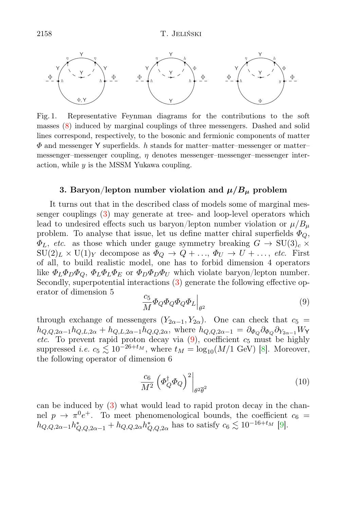

<span id="page-3-0"></span>Fig. 1. Representative Feynman diagrams for the contributions to the soft masses [\(8\)](#page-2-3) induced by marginal couplings of three messengers. Dashed and solid lines correspond, respectively, to the bosonic and fermionic components of matter  $\Phi$  and messenger Y superfields. h stands for matter–matter–messenger or matter– messenger–messenger coupling,  $\eta$  denotes messenger–messenger–messenger interaction, while  $y$  is the MSSM Yukawa coupling.

### 3. Baryon/lepton number violation and  $\mu/B_{\mu}$  problem

It turns out that in the described class of models some of marginal messenger couplings [\(3\)](#page-1-2) may generate at tree- and loop-level operators which lead to undesired effects such us baryon/lepton number violation or  $\mu/B_u$ problem. To analyse that issue, let us define matter chiral superfields  $\Phi_{Q}$ ,  $\Phi_L$ , etc. as those which under gauge symmetry breaking  $G \to SU(3)_c \times$  $SU(2)_L \times U(1)_Y$  decompose as  $\Phi_Q \to Q + \ldots, \Phi_U \to U + \ldots$ , etc. First of all, to build realistic model, one has to forbid dimension 4 operators like  $\Phi_L \Phi_D \Phi_Q$ ,  $\Phi_L \Phi_L \Phi_E$  or  $\Phi_D \Phi_D \Phi_U$  which violate baryon/lepton number. Secondly, superpotential interactions [\(3\)](#page-1-2) generate the following effective operator of dimension 5

<span id="page-3-1"></span>
$$
\left. \frac{c_5}{M} \Phi_Q \Phi_Q \Phi_Q \Phi_L \right|_{\theta^2} \tag{9}
$$

through exchange of messengers  $(Y_{2\alpha-1}, Y_{2\alpha})$ . One can check that  $c_5 =$  $h_{Q,Q,2\alpha-1}h_{Q,L,2\alpha}+h_{Q,L,2\alpha-1}h_{Q,Q,2\alpha}$ , where  $h_{Q,Q,2\alpha-1}=\partial_{\Phi_{Q}}\partial_{\Phi_{Q}}\partial_{Y_{2\alpha-1}}W_{Y}$ etc. To prevent rapid proton decay via  $(9)$ , coefficient  $c_5$  must be highly suppressed *i.e.*  $c_5 \lesssim 10^{-26+t_M}$ , where  $t_M = \log_{10}(M/1 \text{ GeV})$  [\[8\]](#page-6-7). Moreover, the following operator of dimension 6

$$
\frac{c_6}{M^2} \left( \varPhi_Q^{\dagger} \varPhi_Q \right)^2 \bigg|_{\theta^2 \overline{\theta}^2} \tag{10}
$$

can be induced by [\(3\)](#page-1-2) what would lead to rapid proton decay in the channel  $p \to \pi^0 e^+$ . To meet phenomenological bounds, the coefficient  $c_6 =$  $h_{Q,Q,2\alpha-1}h_{Q,Q,2\alpha-1}^* + h_{Q,Q,2\alpha}h_{Q,Q,2\alpha}^*$  has to satisfy  $c_6 \lesssim 10^{-16+t_M}$  [\[9\]](#page-6-8).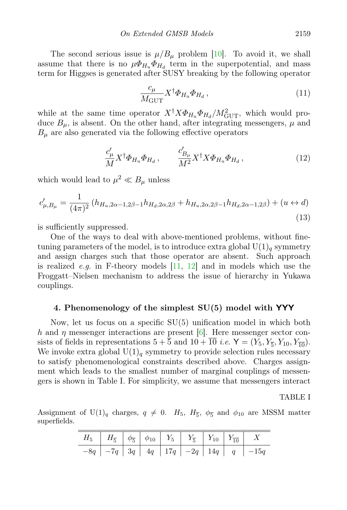The second serious issue is  $\mu/B_\mu$  problem [\[10\]](#page-6-9). To avoid it, we shall assume that there is no  $\mu \Phi_{H_u} \Phi_{H_d}$  term in the superpotential, and mass term for Higgses is generated after SUSY breaking by the following operator

$$
\frac{c_{\mu}}{M_{\text{GUT}}} X^{\dagger} \Phi_{H_u} \Phi_{H_d} , \qquad (11)
$$

while at the same time operator  $X^{\dagger} X \Phi_{H_u} \Phi_{H_d} / M_{\text{GUT}}^2$ , which would produce  $B_{\mu}$ , is absent. On the other hand, after integrating messengers,  $\mu$  and  $B_{\mu}$  are also generated via the following effective operators

$$
\frac{c'_{\mu}}{M} X^{\dagger} \Phi_{H_u} \Phi_{H_d} , \qquad \frac{c'_{B_{\mu}}}{M^2} X^{\dagger} X \Phi_{H_u} \Phi_{H_d} , \qquad (12)
$$

which would lead to  $\mu^2 \ll B_\mu$  unless

$$
c'_{\mu,B_{\mu}} = \frac{1}{(4\pi)^2} \left( h_{H_u,2\alpha-1,2\beta-1} h_{H_d,2\alpha,2\beta} + h_{H_u,2\alpha,2\beta-1} h_{H_d,2\alpha-1,2\beta} \right) + (u \leftrightarrow d)
$$
\n(13)

is sufficiently suppressed.

One of the ways to deal with above-mentioned problems, without finetuning parameters of the model, is to introduce extra global  $U(1)_q$  symmetry and assign charges such that those operator are absent. Such approach is realized *e.g.* in F-theory models  $|11, 12|$  and in models which use the Froggatt–Nielsen mechanism to address the issue of hierarchy in Yukawa couplings.

#### 4. Phenomenology of the simplest  $SU(5)$  model with YYY

Now, let us focus on a specific SU(5) unification model in which both h and  $\eta$  messenger interactions are present [\[6\]](#page-6-5). Here messenger sector consists of fields in representations  $5 + \overline{5}$  and  $10 + \overline{10}$  *i.e.*  $\mathsf{Y} = (Y_5, Y_{\overline{5}}, Y_{10}, Y_{\overline{10}})$ . We invoke extra global  $U(1)<sub>q</sub>$  symmetry to provide selection rules necessary to satisfy phenomenological constraints described above. Charges assignment which leads to the smallest number of marginal couplings of messengers is shown in Table I. For simplicity, we assume that messengers interact

#### TABLE I

Assignment of U(1)<sub>q</sub> charges,  $q \neq 0$ .  $H_5$ ,  $H_{\overline{5}}$ ,  $\phi_{\overline{5}}$  and  $\phi_{10}$  are MSSM matter superfields.

| $H_5$ $H_{\overline{5}}$ $\phi_{\overline{5}}$ $\phi_{10}$ $Y_5$ $Y_{\overline{5}}$ $Y_{10}$ $Y_{\overline{10}}$ $X$ |  |  |  |                                                    |
|----------------------------------------------------------------------------------------------------------------------|--|--|--|----------------------------------------------------|
|                                                                                                                      |  |  |  | $-8q$ $-7q$ $3q$ $4q$ $17q$ $-2q$ $14q$ $q$ $-15q$ |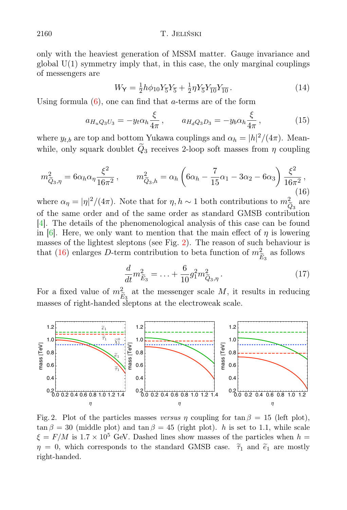only with the heaviest generation of MSSM matter. Gauge invariance and global  $U(1)$  symmetry imply that, in this case, the only marginal couplings of messengers are

$$
W_Y = \frac{1}{2}h\phi_{10}Y_{\overline{5}}Y_{\overline{5}} + \frac{1}{2}\eta Y_{\overline{5}}Y_{\overline{10}}Y_{\overline{10}}.
$$
 (14)

Using formula  $(6)$ , one can find that *a*-terms are of the form

$$
a_{H_u Q_3 U_3} = -y_t \alpha_h \frac{\xi}{4\pi} , \qquad a_{H_d Q_3 D_3} = -y_b \alpha_h \frac{\xi}{4\pi} , \qquad (15)
$$

where  $y_{t,b}$  are top and bottom Yukawa couplings and  $\alpha_h = |h|^2/(4\pi)$ . Meanwhile, only squark doublet  $\tilde{Q}_3$  receives 2-loop soft masses from  $\eta$  coupling

<span id="page-5-1"></span>
$$
m_{\tilde{Q}_3,\eta}^2 = 6\alpha_h \alpha_\eta \frac{\xi^2}{16\pi^2} \,, \qquad m_{\tilde{Q}_3,h}^2 = \alpha_h \left(6\alpha_h - \frac{7}{15}\alpha_1 - 3\alpha_2 - 6\alpha_3\right) \frac{\xi^2}{16\pi^2} \,,
$$
\n(16)

where  $\alpha_{\eta} = |\eta|^2/(4\pi)$ . Note that for  $\eta, h \sim 1$  both contributions to  $m_{\tilde{Q}_3}^2$  are of the same order and of the same order as standard GMSB contribution [\[4\]](#page-6-3). The details of the phenomenological analysis of this case can be found in [\[6\]](#page-6-5). Here, we only want to mention that the main effect of  $\eta$  is lowering in [6]. Here, we only want to mention that the main effect of  $\eta$  is lowering masses of the lightest sleptons (see Fig. [2\)](#page-5-0). The reason of such behaviour is that [\(16\)](#page-5-1) enlarges D-term contribution to beta function of  $m_{\widetilde{E}_3}^2$  as follows that for  $n, h \sim 1$  both contributions to  $m^2$  are

$$
\frac{d}{dt}m_{\tilde{E}_3}^2 = \ldots + \frac{6}{10}g_1^2m_{\tilde{Q}_3,\eta}^2.
$$
\n(17)

For a fixed value of  $m_{\tilde{E}_3}^2$  at the messenger scale M, it results in reducing masses of right-handed sleptons at the electroweak scale.



<span id="page-5-0"></span>Fig. 2. Plot of the particles masses versus  $\eta$  coupling for tan  $\beta = 15$  (left plot),  $\tan \beta = 30$  (middle plot) and  $\tan \beta = 45$  (right plot). h is set to 1.1, while scale  $\xi = F/M$  is  $1.7 \times 10^5$  GeV. Dashed lines show masses of the particles when  $h =$  $p = 0$ , which corresponds to the standard GMSB case.  $\tilde{\tau}_e$  and  $\tilde{\alpha}_e$  are mostly  $right-handed.$  $\eta = 0$ , which corresponds to the standard GMSB case.  $\tilde{\tau}_1$  and  $\tilde{e}_1$  are mostly right-handed